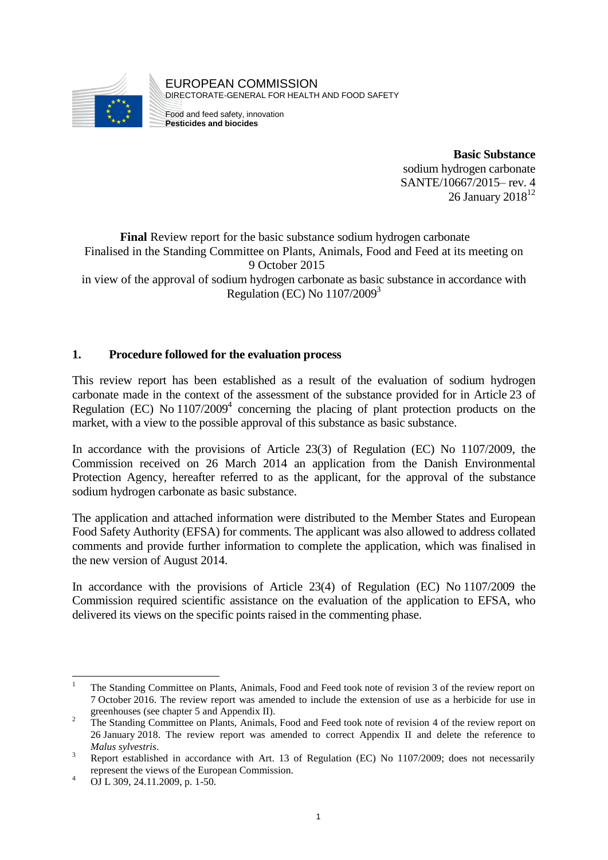

EUROPEAN COMMISSION DIRECTORATE-GENERAL FOR HEALTH AND FOOD SAFETY

Food and feed safety, innovation **Pesticides and biocides**

> **Basic Substance** sodium hydrogen carbonate SANTE/10667/2015– rev. 4 26 January  $2018^{12}$

**Final** Review report for the basic substance sodium hydrogen carbonate Finalised in the Standing Committee on Plants, Animals, Food and Feed at its meeting on 9 October 2015 in view of the approval of sodium hydrogen carbonate as basic substance in accordance with Regulation (EC) No  $1107/2009<sup>3</sup>$ 

# **1. Procedure followed for the evaluation process**

This review report has been established as a result of the evaluation of sodium hydrogen carbonate made in the context of the assessment of the substance provided for in Article 23 of Regulation (EC) No  $1107/2009<sup>4</sup>$  concerning the placing of plant protection products on the market, with a view to the possible approval of this substance as basic substance.

In accordance with the provisions of Article 23(3) of Regulation (EC) No 1107/2009, the Commission received on 26 March 2014 an application from the Danish Environmental Protection Agency, hereafter referred to as the applicant, for the approval of the substance sodium hydrogen carbonate as basic substance.

The application and attached information were distributed to the Member States and European Food Safety Authority (EFSA) for comments. The applicant was also allowed to address collated comments and provide further information to complete the application, which was finalised in the new version of August 2014.

In accordance with the provisions of Article 23(4) of Regulation (EC) No 1107/2009 the Commission required scientific assistance on the evaluation of the application to EFSA, who delivered its views on the specific points raised in the commenting phase.

<sup>1</sup> <sup>1</sup> The Standing Committee on Plants, Animals, Food and Feed took note of revision 3 of the review report on 7 October 2016. The review report was amended to include the extension of use as a herbicide for use in greenhouses (see chapter 5 and Appendix II).

<sup>&</sup>lt;sup>2</sup> The Standing Committee on Plants, Animals, Food and Feed took note of revision 4 of the review report on 26 January 2018. The review report was amended to correct Appendix II and delete the reference to *Malus sylvestris*.

<sup>&</sup>lt;sup>3</sup> Report established in accordance with Art. 13 of Regulation (EC) No 1107/2009; does not necessarily represent the views of the European Commission.

<sup>4</sup> OJ L 309, 24.11.2009, p. 1-50.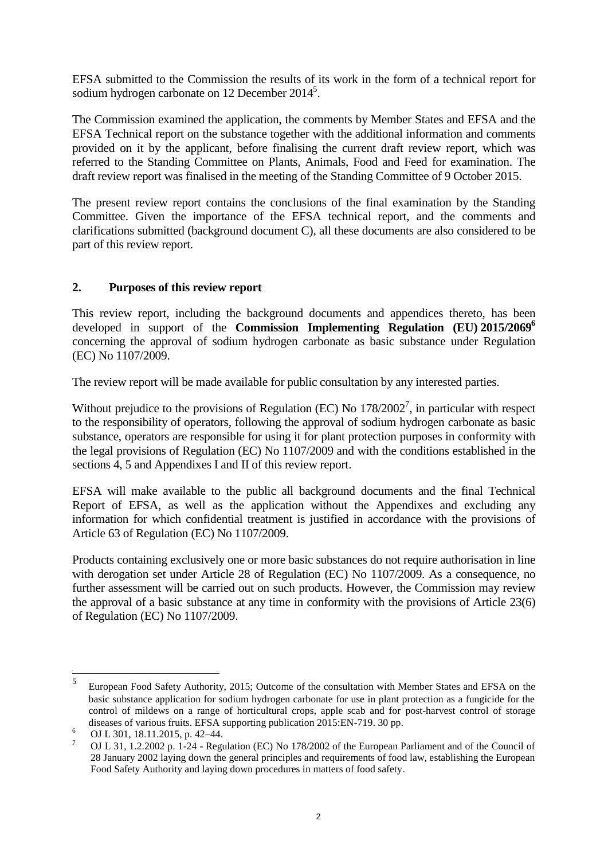EFSA submitted to the Commission the results of its work in the form of a technical report for sodium hydrogen carbonate on 12 December  $2014^5$ .

The Commission examined the application, the comments by Member States and EFSA and the EFSA Technical report on the substance together with the additional information and comments provided on it by the applicant, before finalising the current draft review report, which was referred to the Standing Committee on Plants, Animals, Food and Feed for examination. The draft review report was finalised in the meeting of the Standing Committee of 9 October 2015.

The present review report contains the conclusions of the final examination by the Standing Committee. Given the importance of the EFSA technical report, and the comments and clarifications submitted (background document C), all these documents are also considered to be part of this review report.

# **2. Purposes of this review report**

This review report, including the background documents and appendices thereto, has been developed in support of the **Commission Implementing Regulation (EU) 2015/2069<sup>6</sup>** concerning the approval of sodium hydrogen carbonate as basic substance under Regulation (EC) No 1107/2009.

The review report will be made available for public consultation by any interested parties.

Without prejudice to the provisions of Regulation (EC) No  $178/2002^7$ , in particular with respect to the responsibility of operators, following the approval of sodium hydrogen carbonate as basic substance, operators are responsible for using it for plant protection purposes in conformity with the legal provisions of Regulation (EC) No 1107/2009 and with the conditions established in the sections 4, 5 and Appendixes I and II of this review report.

EFSA will make available to the public all background documents and the final Technical Report of EFSA, as well as the application without the Appendixes and excluding any information for which confidential treatment is justified in accordance with the provisions of Article 63 of Regulation (EC) No 1107/2009.

Products containing exclusively one or more basic substances do not require authorisation in line with derogation set under Article 28 of Regulation (EC) No 1107/2009. As a consequence, no further assessment will be carried out on such products. However, the Commission may review the approval of a basic substance at any time in conformity with the provisions of Article 23(6) of Regulation (EC) No 1107/2009.

 $\frac{1}{5}$ European Food Safety Authority, 2015; Outcome of the consultation with Member States and EFSA on the basic substance application for sodium hydrogen carbonate for use in plant protection as a fungicide for the control of mildews on a range of horticultural crops, apple scab and for post-harvest control of storage diseases of various fruits. EFSA supporting publication 2015:EN-719. 30 pp.

<sup>6</sup> OJ L 301, 18.11.2015, p. 42–44.

<sup>7</sup> OJ L 31, 1.2.2002 p. 1-24 - Regulation (EC) No 178/2002 of the European Parliament and of the Council of 28 January 2002 laying down the general principles and requirements of food law, establishing the European Food Safety Authority and laying down procedures in matters of food safety.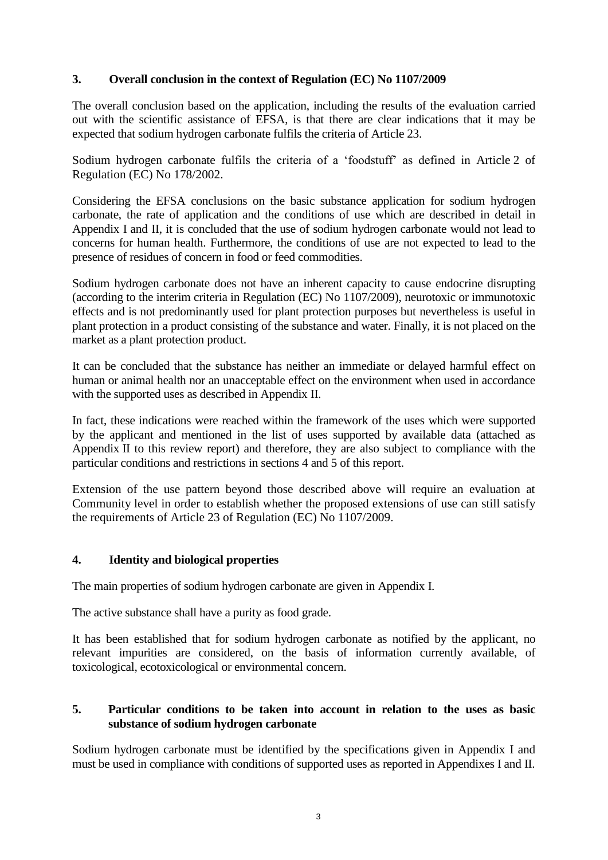# **3. Overall conclusion in the context of Regulation (EC) No 1107/2009**

The overall conclusion based on the application, including the results of the evaluation carried out with the scientific assistance of EFSA, is that there are clear indications that it may be expected that sodium hydrogen carbonate fulfils the criteria of Article 23.

Sodium hydrogen carbonate fulfils the criteria of a 'foodstuff' as defined in Article 2 of Regulation (EC) No 178/2002.

Considering the EFSA conclusions on the basic substance application for sodium hydrogen carbonate, the rate of application and the conditions of use which are described in detail in Appendix I and II, it is concluded that the use of sodium hydrogen carbonate would not lead to concerns for human health. Furthermore, the conditions of use are not expected to lead to the presence of residues of concern in food or feed commodities.

Sodium hydrogen carbonate does not have an inherent capacity to cause endocrine disrupting (according to the interim criteria in Regulation (EC) No 1107/2009), neurotoxic or immunotoxic effects and is not predominantly used for plant protection purposes but nevertheless is useful in plant protection in a product consisting of the substance and water. Finally, it is not placed on the market as a plant protection product.

It can be concluded that the substance has neither an immediate or delayed harmful effect on human or animal health nor an unacceptable effect on the environment when used in accordance with the supported uses as described in Appendix II.

In fact, these indications were reached within the framework of the uses which were supported by the applicant and mentioned in the list of uses supported by available data (attached as Appendix II to this review report) and therefore, they are also subject to compliance with the particular conditions and restrictions in sections 4 and 5 of this report.

Extension of the use pattern beyond those described above will require an evaluation at Community level in order to establish whether the proposed extensions of use can still satisfy the requirements of Article 23 of Regulation (EC) No 1107/2009.

# **4. Identity and biological properties**

The main properties of sodium hydrogen carbonate are given in Appendix I.

The active substance shall have a purity as food grade.

It has been established that for sodium hydrogen carbonate as notified by the applicant, no relevant impurities are considered, on the basis of information currently available, of toxicological, ecotoxicological or environmental concern.

### **5. Particular conditions to be taken into account in relation to the uses as basic substance of sodium hydrogen carbonate**

Sodium hydrogen carbonate must be identified by the specifications given in Appendix I and must be used in compliance with conditions of supported uses as reported in Appendixes I and II.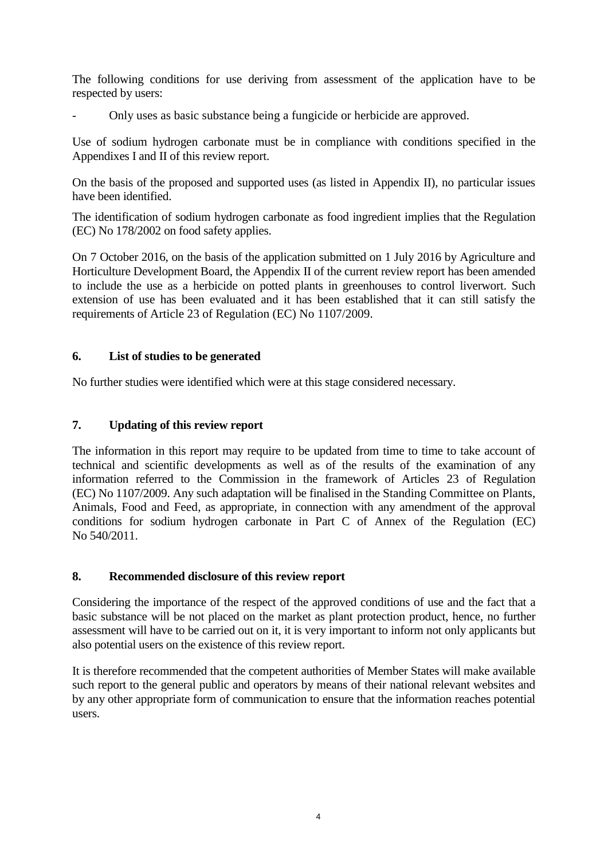The following conditions for use deriving from assessment of the application have to be respected by users:

- Only uses as basic substance being a fungicide or herbicide are approved.

Use of sodium hydrogen carbonate must be in compliance with conditions specified in the Appendixes I and II of this review report.

On the basis of the proposed and supported uses (as listed in Appendix II), no particular issues have been identified.

The identification of sodium hydrogen carbonate as food ingredient implies that the Regulation (EC) No 178/2002 on food safety applies.

On 7 October 2016, on the basis of the application submitted on 1 July 2016 by Agriculture and Horticulture Development Board, the Appendix II of the current review report has been amended to include the use as a herbicide on potted plants in greenhouses to control liverwort. Such extension of use has been evaluated and it has been established that it can still satisfy the requirements of Article 23 of Regulation (EC) No 1107/2009.

# **6. List of studies to be generated**

No further studies were identified which were at this stage considered necessary.

### **7. Updating of this review report**

The information in this report may require to be updated from time to time to take account of technical and scientific developments as well as of the results of the examination of any information referred to the Commission in the framework of Articles 23 of Regulation (EC) No 1107/2009. Any such adaptation will be finalised in the Standing Committee on Plants, Animals, Food and Feed, as appropriate, in connection with any amendment of the approval conditions for sodium hydrogen carbonate in Part C of Annex of the Regulation (EC) No 540/2011.

#### **8. Recommended disclosure of this review report**

Considering the importance of the respect of the approved conditions of use and the fact that a basic substance will be not placed on the market as plant protection product, hence, no further assessment will have to be carried out on it, it is very important to inform not only applicants but also potential users on the existence of this review report.

It is therefore recommended that the competent authorities of Member States will make available such report to the general public and operators by means of their national relevant websites and by any other appropriate form of communication to ensure that the information reaches potential users.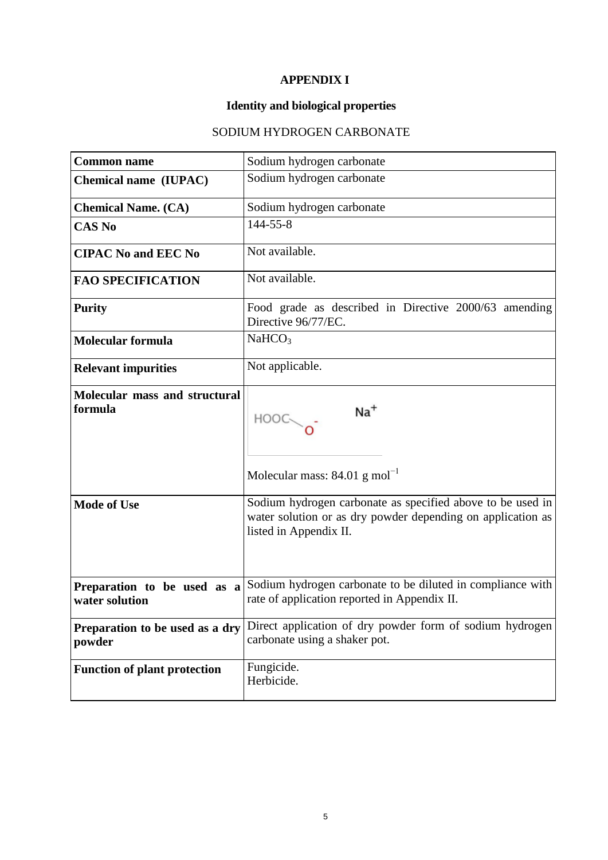# **APPENDIX I**

# **Identity and biological properties**

# SODIUM HYDROGEN CARBONATE

| <b>Common name</b>                            | Sodium hydrogen carbonate                                                                                                                           |
|-----------------------------------------------|-----------------------------------------------------------------------------------------------------------------------------------------------------|
| Chemical name (IUPAC)                         | Sodium hydrogen carbonate                                                                                                                           |
| <b>Chemical Name. (CA)</b>                    | Sodium hydrogen carbonate                                                                                                                           |
| <b>CAS No</b>                                 | 144-55-8                                                                                                                                            |
| <b>CIPAC No and EEC No</b>                    | Not available.                                                                                                                                      |
| <b>FAO SPECIFICATION</b>                      | Not available.                                                                                                                                      |
| <b>Purity</b>                                 | Food grade as described in Directive 2000/63 amending<br>Directive 96/77/EC.                                                                        |
| <b>Molecular formula</b>                      | NaHCO <sub>3</sub>                                                                                                                                  |
| <b>Relevant impurities</b>                    | Not applicable.                                                                                                                                     |
| Molecular mass and structural<br>formula      | $Na+$<br>HOOO<br>Molecular mass: $84.01$ g mol <sup>-1</sup>                                                                                        |
| <b>Mode of Use</b>                            | Sodium hydrogen carbonate as specified above to be used in<br>water solution or as dry powder depending on application as<br>listed in Appendix II. |
| Preparation to be used as a<br>water solution | Sodium hydrogen carbonate to be diluted in compliance with<br>rate of application reported in Appendix II.                                          |
| Preparation to be used as a dry<br>powder     | Direct application of dry powder form of sodium hydrogen<br>carbonate using a shaker pot.                                                           |
| <b>Function of plant protection</b>           | Fungicide.<br>Herbicide.                                                                                                                            |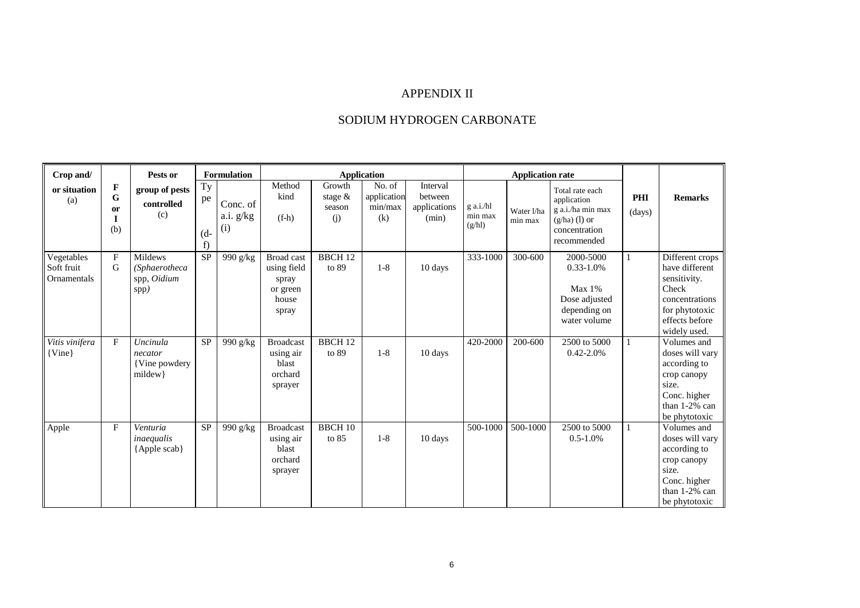# APPENDIX II

# SODIUM HYDROGEN CARBONATE

| Crop and/                               |                                               | Pests or                                               |                          | <b>Formulation</b>           | <b>Application</b>                                                      |                                       |                                         |                                              | <b>Application rate</b>        |                       |                                                                                                        |               |                                                                                                                                  |
|-----------------------------------------|-----------------------------------------------|--------------------------------------------------------|--------------------------|------------------------------|-------------------------------------------------------------------------|---------------------------------------|-----------------------------------------|----------------------------------------------|--------------------------------|-----------------------|--------------------------------------------------------------------------------------------------------|---------------|----------------------------------------------------------------------------------------------------------------------------------|
| or situation<br>(a)                     | F<br>$\mathbf G$<br><sub>or</sub><br>I<br>(b) | group of pests<br>controlled<br>(c)                    | Ty<br>pe<br>$(d -$<br>f) | Conc. of<br>a.i. g/kg<br>(i) | Method<br>kind<br>$(f-h)$                                               | Growth<br>stage $\&$<br>season<br>(i) | No. of<br>application<br>min/max<br>(k) | Interval<br>between<br>applications<br>(min) | g a.i./hl<br>min max<br>(g/hl) | Water 1/ha<br>min max | Total rate each<br>application<br>g a.i./ha min max<br>$(g/ha)$ (1) or<br>concentration<br>recommended | PHI<br>(days) | <b>Remarks</b>                                                                                                                   |
| Vegetables<br>Soft fruit<br>Ornamentals | $\mathbf{F}$<br>G                             | <b>Mildews</b><br>(Sphaerotheca<br>spp, Oidium<br>spp) | $\overline{SP}$          | 990 g/kg                     | <b>Broad</b> cast<br>using field<br>spray<br>or green<br>house<br>spray | <b>BBCH 12</b><br>to 89               | $1-8$                                   | 10 days                                      | 333-1000                       | 300-600               | 2000-5000<br>$0.33 - 1.0\%$<br>$Max 1\%$<br>Dose adjusted<br>depending on<br>water volume              | 1             | Different crops<br>have different<br>sensitivity.<br>Check<br>concentrations<br>for phytotoxic<br>effects before<br>widely used. |
| Vitis vinifera<br>$\{Vine\}$            | $\mathbf{F}$                                  | Uncinula<br>necator<br>{Vine powdery}<br>mildew        | <b>SP</b>                | 990 g/kg                     | <b>Broadcast</b><br>using air<br>blast<br>orchard<br>sprayer            | <b>BBCH 12</b><br>to 89               | $1 - 8$                                 | 10 days                                      | 420-2000                       | 200-600               | 2500 to 5000<br>$0.42 - 2.0%$                                                                          | $\mathbf{1}$  | Volumes and<br>doses will vary<br>according to<br>crop canopy<br>size.<br>Conc. higher<br>than 1-2% can<br>be phytotoxic         |
| Apple                                   | F                                             | Venturia<br>inaequalis<br>{Apple scab}                 | <b>SP</b>                | 990 g/kg                     | <b>Broadcast</b><br>using air<br>blast<br>orchard<br>sprayer            | <b>BBCH 10</b><br>to 85               | $1 - 8$                                 | 10 days                                      | 500-1000                       | 500-1000              | 2500 to 5000<br>$0.5 - 1.0\%$                                                                          | 1             | Volumes and<br>doses will vary<br>according to<br>crop canopy<br>size.<br>Conc. higher<br>than 1-2% can<br>be phytotoxic         |